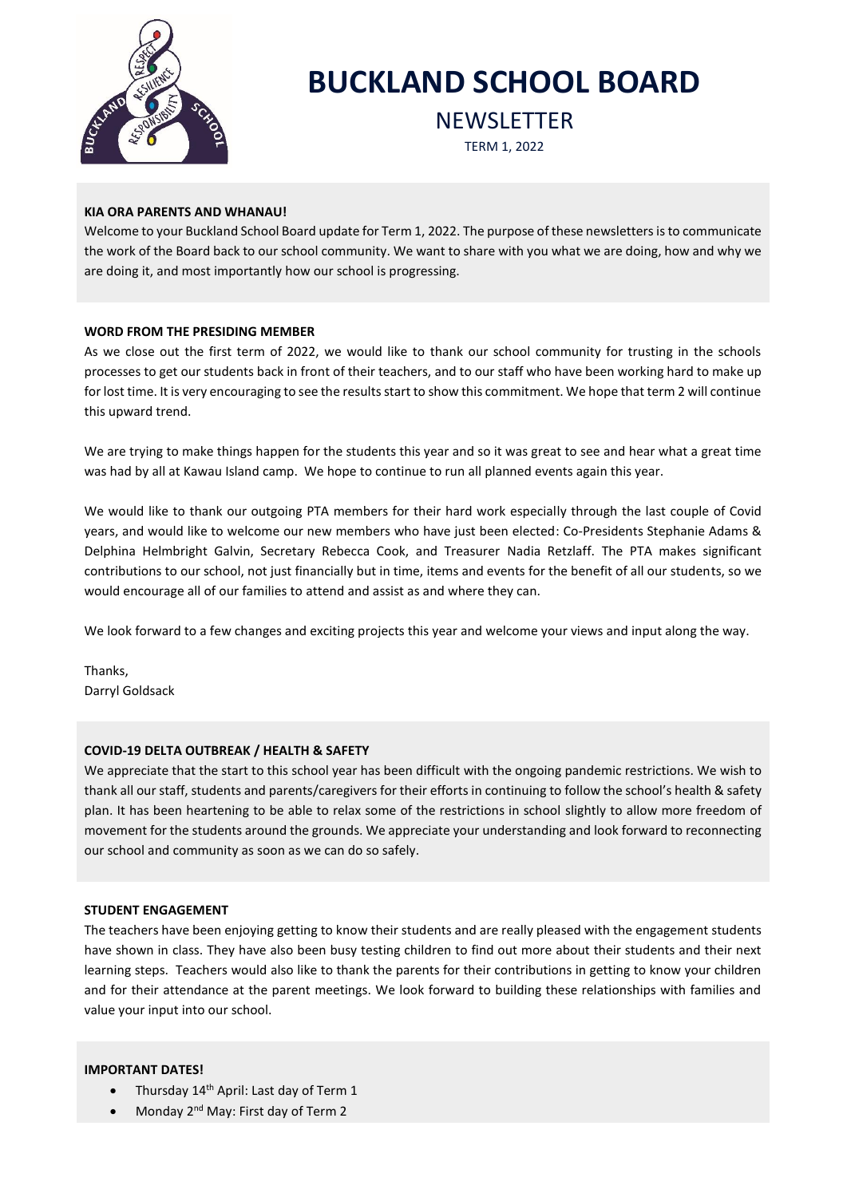

# **BUCKLAND SCHOOL BOARD**

**NEWSLETTER** 

TERM 1, 2022

# **KIA ORA PARENTS AND WHANAU!**

Welcome to your Buckland School Board update for Term 1, 2022. The purpose of these newsletters is to communicate the work of the Board back to our school community. We want to share with you what we are doing, how and why we are doing it, and most importantly how our school is progressing.

# **WORD FROM THE PRESIDING MEMBER**

As we close out the first term of 2022, we would like to thank our school community for trusting in the schools processes to get our students back in front of their teachers, and to our staff who have been working hard to make up for lost time. It is very encouraging to see the results start to show this commitment. We hope that term 2 will continue this upward trend.

We are trying to make things happen for the students this year and so it was great to see and hear what a great time was had by all at Kawau Island camp. We hope to continue to run all planned events again this year.

We would like to thank our outgoing PTA members for their hard work especially through the last couple of Covid years, and would like to welcome our new members who have just been elected: Co-Presidents Stephanie Adams & Delphina Helmbright Galvin, Secretary Rebecca Cook, and Treasurer Nadia Retzlaff. The PTA makes significant contributions to our school, not just financially but in time, items and events for the benefit of all our students, so we would encourage all of our families to attend and assist as and where they can.

We look forward to a few changes and exciting projects this year and welcome your views and input along the way.

Thanks, Darryl Goldsack

# **COVID-19 DELTA OUTBREAK / HEALTH & SAFETY**

We appreciate that the start to this school year has been difficult with the ongoing pandemic restrictions. We wish to thank all our staff, students and parents/caregivers for their efforts in continuing to follow the school's health & safety plan. It has been heartening to be able to relax some of the restrictions in school slightly to allow more freedom of movement for the students around the grounds. We appreciate your understanding and look forward to reconnecting our school and community as soon as we can do so safely.

# **STUDENT ENGAGEMENT**

The teachers have been enjoying getting to know their students and are really pleased with the engagement students have shown in class. They have also been busy testing children to find out more about their students and their next learning steps. Teachers would also like to thank the parents for their contributions in getting to know your children and for their attendance at the parent meetings. We look forward to building these relationships with families and value your input into our school.

# **IMPORTANT DATES!**

- Thursday 14<sup>th</sup> April: Last day of Term 1
- Monday 2nd May: First day of Term 2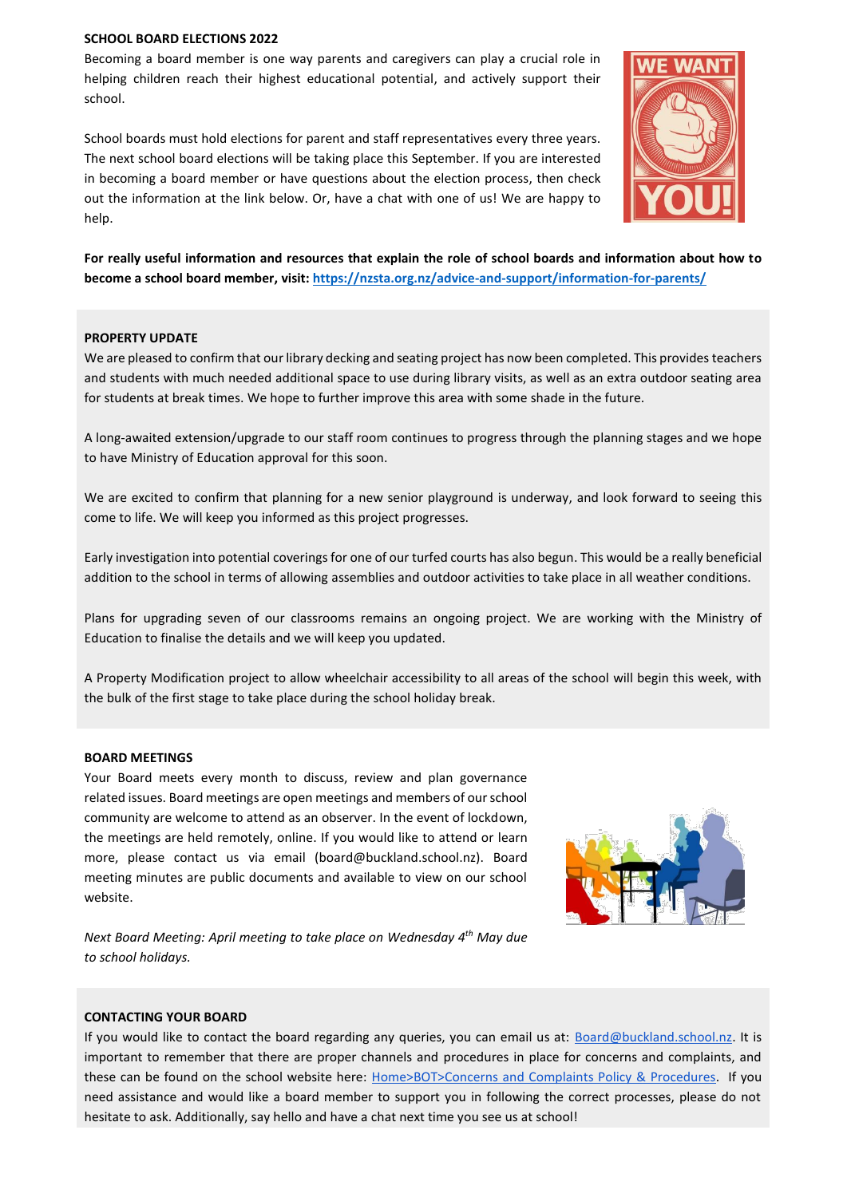#### **SCHOOL BOARD ELECTIONS 2022**

Becoming a board member is one way parents and caregivers can play a crucial role in helping children reach their highest educational potential, and actively support their school.

School boards must hold elections for parent and staff representatives every three years. The next school board elections will be taking place this September. If you are interested in becoming a board member or have questions about the election process, then check out the information at the link below. Or, have a chat with one of us! We are happy to help.



**For really useful information and resources that explain the role of school boards and information about how to become a school board member, visit:<https://nzsta.org.nz/advice-and-support/information-for-parents/>**

#### **PROPERTY UPDATE**

We are pleased to confirm that our library decking and seating project has now been completed. This provides teachers and students with much needed additional space to use during library visits, as well as an extra outdoor seating area for students at break times. We hope to further improve this area with some shade in the future.

A long-awaited extension/upgrade to our staff room continues to progress through the planning stages and we hope to have Ministry of Education approval for this soon.

We are excited to confirm that planning for a new senior playground is underway, and look forward to seeing this come to life. We will keep you informed as this project progresses.

Early investigation into potential coverings for one of our turfed courts has also begun. This would be a really beneficial addition to the school in terms of allowing assemblies and outdoor activities to take place in all weather conditions.

Plans for upgrading seven of our classrooms remains an ongoing project. We are working with the Ministry of Education to finalise the details and we will keep you updated.

A Property Modification project to allow wheelchair accessibility to all areas of the school will begin this week, with the bulk of the first stage to take place during the school holiday break.

#### **BOARD MEETINGS**

Your Board meets every month to discuss, review and plan governance related issues. Board meetings are open meetings and members of our school community are welcome to attend as an observer. In the event of lockdown, the meetings are held remotely, online. If you would like to attend or learn more, please contact us via email (board@buckland.school.nz). Board meeting minutes are public documents and available to view on our school website.



*Next Board Meeting: April meeting to take place on Wednesday 4 th May due to school holidays.*

#### **CONTACTING YOUR BOARD**

If you would like to contact the board regarding any queries, you can email us at: [Board@buckland.school.nz.](mailto:Board@buckland.school.nz) It is important to remember that there are proper channels and procedures in place for concerns and complaints, and these can be found on the school website here: [Home>BOT>Concerns and Complaints Policy & Procedures.](https://www.buckland.school.nz/6/file_sets/37-concerns-and-complaints-policy-procedures) If you need assistance and would like a board member to support you in following the correct processes, please do not hesitate to ask. Additionally, say hello and have a chat next time you see us at school!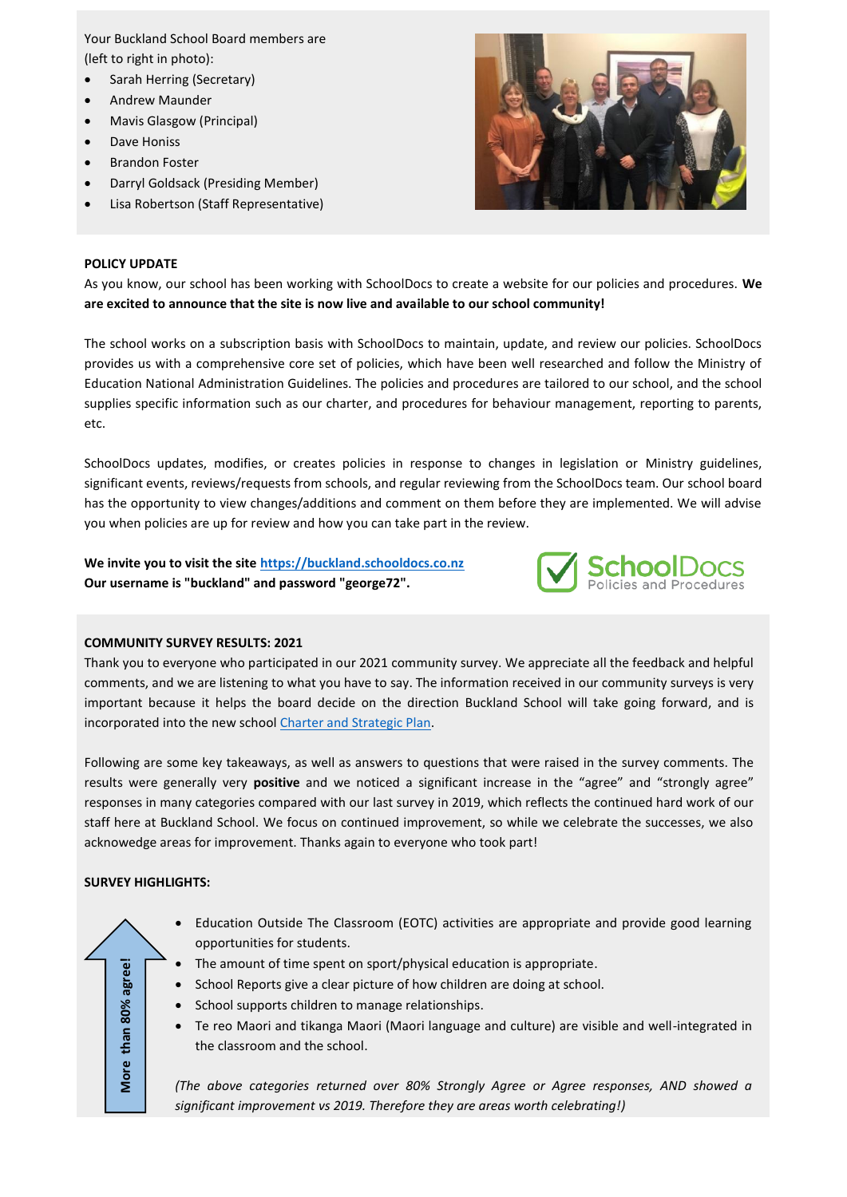Your Buckland School Board members are (left to right in photo):

- Sarah Herring (Secretary)
- Andrew Maunder
- Mavis Glasgow (Principal)
- Dave Honiss
- Brandon Foster
- Darryl Goldsack (Presiding Member)
- Lisa Robertson (Staff Representative)



# **POLICY UPDATE**

As you know, our school has been working with SchoolDocs to create a website for our policies and procedures. **We are excited to announce that the site is now live and available to our school community!**

The school works on a subscription basis with SchoolDocs to maintain, update, and review our policies. SchoolDocs provides us with a comprehensive core set of policies, which have been well researched and follow the Ministry of Education National Administration Guidelines. The policies and procedures are tailored to our school, and the school supplies specific information such as our charter, and procedures for behaviour management, reporting to parents, etc.

SchoolDocs updates, modifies, or creates policies in response to changes in legislation or Ministry guidelines, significant events, reviews/requests from schools, and regular reviewing from the SchoolDocs team. Our school board has the opportunity to view changes/additions and comment on them before they are implemented. We will advise you when policies are up for review and how you can take part in the review.

**We invite you to visit the site [https://buckland.schooldocs.co.nz](https://buckland.schooldocs.co.nz/) Our username is "buckland" and password "george72".**



# **COMMUNITY SURVEY RESULTS: 2021**

Thank you to everyone who participated in our 2021 community survey. We appreciate all the feedback and helpful comments, and we are listening to what you have to say. The information received in our community surveys is very important because it helps the board decide on the direction Buckland School will take going forward, and is incorporated into the new school [Charter and Strategic Plan.](https://www.buckland.school.nz/6/file_sets/36-charter-and-strategic-plan)

Following are some key takeaways, as well as answers to questions that were raised in the survey comments. The results were generally very **positive** and we noticed a significant increase in the "agree" and "strongly agree" responses in many categories compared with our last survey in 2019, which reflects the continued hard work of our staff here at Buckland School. We focus on continued improvement, so while we celebrate the successes, we also acknowedge areas for improvement. Thanks again to everyone who took part!

# **SURVEY HIGHLIGHTS:**

**More than 80% agree!**

More

than 80% agree!

- Education Outside The Classroom (EOTC) activities are appropriate and provide good learning opportunities for students.
- The amount of time spent on sport/physical education is appropriate.
- School Reports give a clear picture of how children are doing at school.
- School supports children to manage relationships.
- Te reo Maori and tikanga Maori (Maori language and culture) are visible and well-integrated in the classroom and the school.

*(The above categories returned over 80% Strongly Agree or Agree responses, AND showed a significant improvement vs 2019. Therefore they are areas worth celebrating!)*